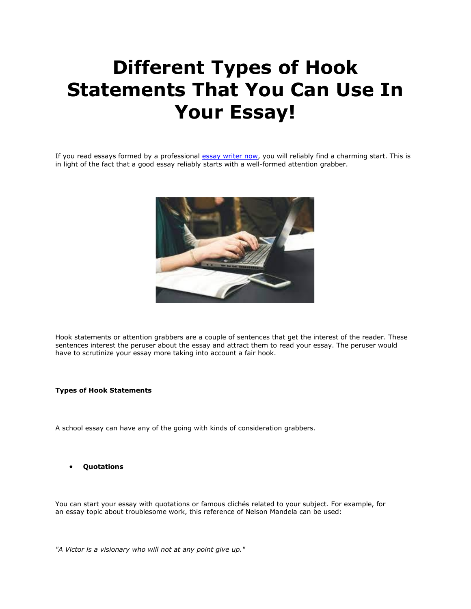# **Different Types of Hook Statements That You Can Use In Your Essay!**

If you read essays formed by a professional essay [writer](https://essaywriternow.com/) now, you will reliably find a charming start. This is in light of the fact that a good essay reliably starts with a well-formed attention grabber.



Hook statements or attention grabbers are a couple of sentences that get the interest of the reader. These sentences interest the peruser about the essay and attract them to read your essay. The peruser would have to scrutinize your essay more taking into account a fair hook.

#### **Types of Hook Statements**

A school essay can have any of the going with kinds of consideration grabbers.

• **Quotations**

You can start your essay with quotations or famous clichés related to your subject. For example, for an essay topic about troublesome work, this reference of Nelson Mandela can be used:

*"A Victor is a visionary who will not at any point give up."*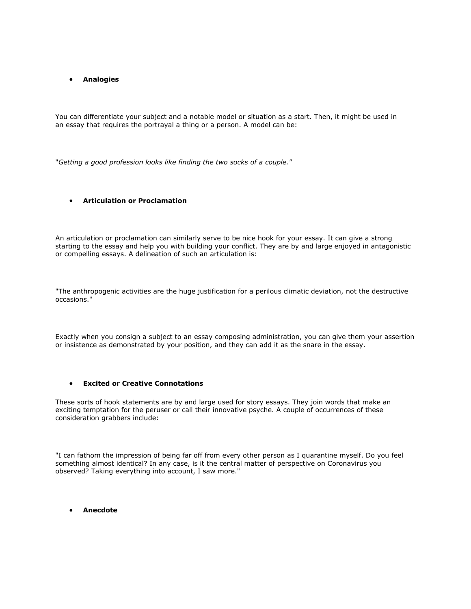## • **Analogies**

You can differentiate your subject and a notable model or situation as a start. Then, it might be used in an essay that requires the portrayal a thing or a person. A model can be:

"*Getting a good profession looks like finding the two socks of a couple."*

#### • **Articulation or Proclamation**

An articulation or proclamation can similarly serve to be nice hook for your essay. It can give a strong starting to the essay and help you with building your conflict. They are by and large enjoyed in antagonistic or compelling essays. A delineation of such an articulation is:

"The anthropogenic activities are the huge justification for a perilous climatic deviation, not the destructive occasions."

Exactly when you consign a subject to an essay composing administration, you can give them your assertion or insistence as demonstrated by your position, and they can add it as the snare in the essay.

#### • **Excited or Creative Connotations**

These sorts of hook statements are by and large used for story essays. They join words that make an exciting temptation for the peruser or call their innovative psyche. A couple of occurrences of these consideration grabbers include:

"I can fathom the impression of being far off from every other person as I quarantine myself. Do you feel something almost identical? In any case, is it the central matter of perspective on Coronavirus you observed? Taking everything into account, I saw more."

• **Anecdote**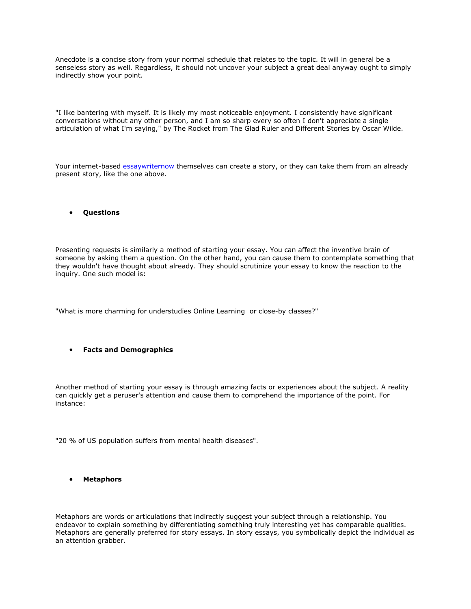Anecdote is a concise story from your normal schedule that relates to the topic. It will in general be a senseless story as well. Regardless, it should not uncover your subject a great deal anyway ought to simply indirectly show your point.

"I like bantering with myself. It is likely my most noticeable enjoyment. I consistently have significant conversations without any other person, and I am so sharp every so often I don't appreciate a single articulation of what I'm saying," by The Rocket from The Glad Ruler and Different Stories by Oscar Wilde.

Your internet-based [essaywriternow](https://essaywriternow.com/) themselves can create a story, or they can take them from an already present story, like the one above.

• **Questions**

Presenting requests is similarly a method of starting your essay. You can affect the inventive brain of someone by asking them a question. On the other hand, you can cause them to contemplate something that they wouldn't have thought about already. They should scrutinize your essay to know the reaction to the inquiry. One such model is:

"What is more charming for understudies Online Learning or close-by classes?"

### • **Facts and Demographics**

Another method of starting your essay is through amazing facts or experiences about the subject. A reality can quickly get a peruser's attention and cause them to comprehend the importance of the point. For instance:

"20 % of US population suffers from mental health diseases".

• **Metaphors**

Metaphors are words or articulations that indirectly suggest your subject through a relationship. You endeavor to explain something by differentiating something truly interesting yet has comparable qualities. Metaphors are generally preferred for story essays. In story essays, you symbolically depict the individual as an attention grabber.